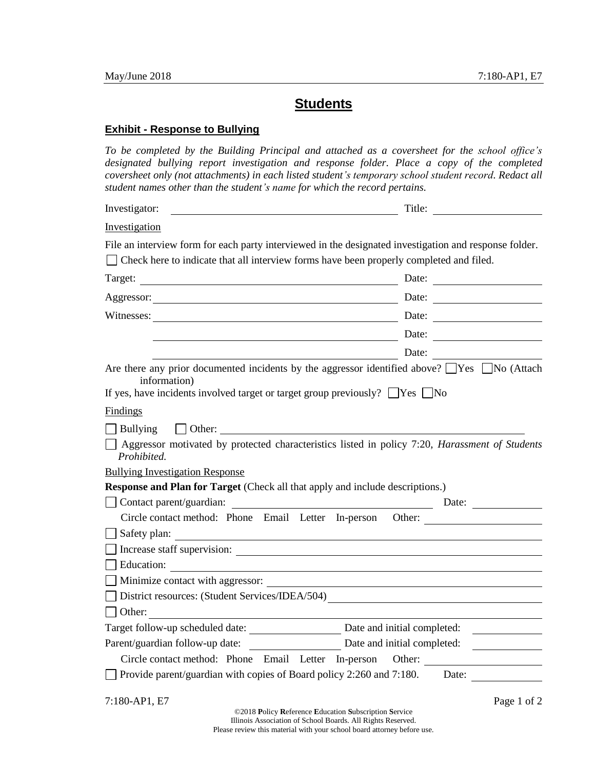## **Students**

## **Exhibit - Response to Bullying**

*To be completed by the Building Principal and attached as a coversheet for the school office's*  designated bullying report investigation and response folder. Place a copy of the completed *coversheet only (not attachments) in each listed student's temporary school student record. Redact all student names other than the student's name for which the record pertains.*

| Investigator:<br><u> 1989 - Jan Sterling von Berling von Berling von Berling von Berling von Berling von Berling von Berling von B</u>                                                                              | Title:                                                           |
|---------------------------------------------------------------------------------------------------------------------------------------------------------------------------------------------------------------------|------------------------------------------------------------------|
| <b>Investigation</b>                                                                                                                                                                                                |                                                                  |
| File an interview form for each party interviewed in the designated investigation and response folder.<br>□ Check here to indicate that all interview forms have been properly completed and filed.                 |                                                                  |
|                                                                                                                                                                                                                     | Date:                                                            |
|                                                                                                                                                                                                                     | Date: $\qquad \qquad$                                            |
|                                                                                                                                                                                                                     | Date:                                                            |
|                                                                                                                                                                                                                     | Date:                                                            |
|                                                                                                                                                                                                                     | Date:                                                            |
| Are there any prior documented incidents by the aggressor identified above? $\Box$ Yes $\Box$ No (Attach<br>information)<br>If yes, have incidents involved target or target group previously? $\Box$ Yes $\Box$ No |                                                                  |
| Findings                                                                                                                                                                                                            |                                                                  |
|                                                                                                                                                                                                                     |                                                                  |
| Aggressor motivated by protected characteristics listed in policy 7:20, Harassment of Students<br>Prohibited.<br><b>Bullying Investigation Response</b>                                                             |                                                                  |
| <b>Response and Plan for Target</b> (Check all that apply and include descriptions.)                                                                                                                                |                                                                  |
| Contact parent/guardian:                                                                                                                                                                                            | <u> 1980 - Johann Barnett, fransk politik (d. 1980)</u><br>Date: |
|                                                                                                                                                                                                                     | Circle contact method: Phone Email Letter In-person Other:       |
|                                                                                                                                                                                                                     |                                                                  |
|                                                                                                                                                                                                                     |                                                                  |
| $\Box$ Education:                                                                                                                                                                                                   |                                                                  |
| Minimize contact with aggressor:                                                                                                                                                                                    |                                                                  |
| District resources: (Student Services/IDEA/504)                                                                                                                                                                     |                                                                  |
| $\Box$ Other:                                                                                                                                                                                                       |                                                                  |
| Target follow-up scheduled date:                                                                                                                                                                                    | Date and initial completed:                                      |
| Parent/guardian follow-up date:                                                                                                                                                                                     | Date and initial completed:                                      |
| Circle contact method: Phone Email Letter In-person                                                                                                                                                                 |                                                                  |
| Provide parent/guardian with copies of Board policy $2:260$ and $7:180$ .                                                                                                                                           | Date:                                                            |
| 7:180-AP1, E7<br>©2018 Policy Reference Education Subscription Service                                                                                                                                              | Page 1 of 2                                                      |